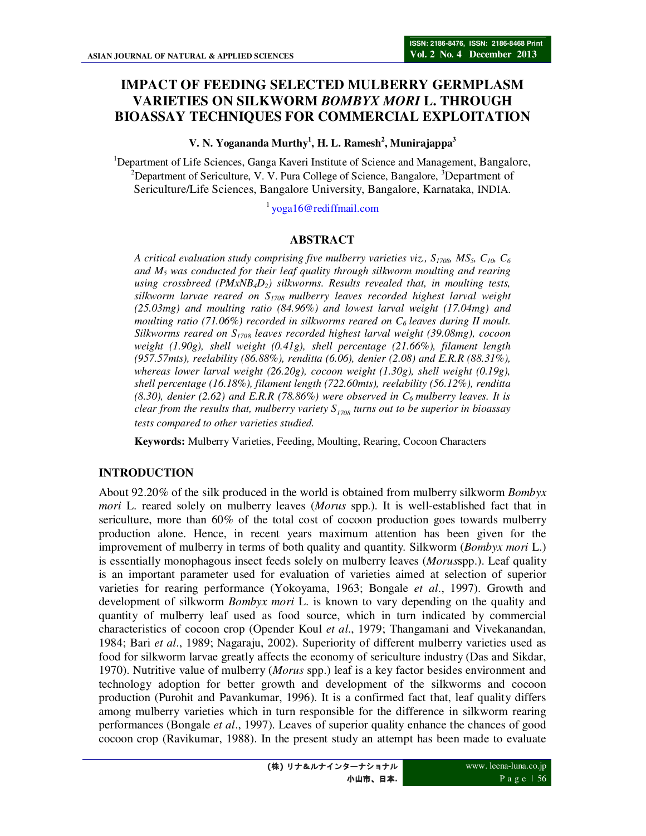# **IMPACT OF FEEDING SELECTED MULBERRY GERMPLASM VARIETIES ON SILKWORM** *BOMBYX MORI* **L. THROUGH BIOASSAY TECHNIQUES FOR COMMERCIAL EXPLOITATION**

#### **V. N. Yogananda Murthy<sup>1</sup> , H. L. Ramesh<sup>2</sup> , Munirajappa<sup>3</sup>**

<sup>1</sup>Department of Life Sciences, Ganga Kaveri Institute of Science and Management, Bangalore, <sup>2</sup>Department of Sericulture, V. V. Pura College of Science, Bangalore,  ${}^{3}$ Department of Sericulture/Life Sciences, Bangalore University, Bangalore, Karnataka, INDIA.

 $1\overline{y}$  yoga16@rediffmail.com

# **ABSTRACT**

*A critical evaluation study comprising five mulberry varieties viz.,*  $S_{1708}$ *,*  $MS_5$ *,*  $C_{10}$ *,*  $C_6$ *and M5 was conducted for their leaf quality through silkworm moulting and rearing using crossbreed (PMxNB4D2) silkworms. Results revealed that, in moulting tests, silkworm larvae reared on S1708 mulberry leaves recorded highest larval weight (25.03mg) and moulting ratio (84.96%) and lowest larval weight (17.04mg) and moulting ratio (71.06%) recorded in silkworms reared on C6 leaves during II moult. Silkworms reared on S1708 leaves recorded highest larval weight (39.08mg), cocoon weight (1.90g), shell weight (0.41g), shell percentage (21.66%), filament length (957.57mts), reelability (86.88%), renditta (6.06), denier (2.08) and E.R.R (88.31%), whereas lower larval weight (26.20g), cocoon weight (1.30g), shell weight (0.19g), shell percentage (16.18%), filament length (722.60mts), reelability (56.12%), renditta (8.30), denier (2.62) and E.R.R (78.86%) were observed in C6 mulberry leaves. It is clear from the results that, mulberry variety S1708 turns out to be superior in bioassay tests compared to other varieties studied.* 

**Keywords:** Mulberry Varieties, Feeding, Moulting, Rearing, Cocoon Characters

# **INTRODUCTION**

About 92.20% of the silk produced in the world is obtained from mulberry silkworm *Bombyx mori* L. reared solely on mulberry leaves (*Morus* spp.). It is well-established fact that in sericulture, more than 60% of the total cost of cocoon production goes towards mulberry production alone. Hence, in recent years maximum attention has been given for the improvement of mulberry in terms of both quality and quantity. Silkworm (*Bombyx mori* L.) is essentially monophagous insect feeds solely on mulberry leaves (*Morus*spp.). Leaf quality is an important parameter used for evaluation of varieties aimed at selection of superior varieties for rearing performance (Yokoyama, 1963; Bongale *et al*., 1997). Growth and development of silkworm *Bombyx mori* L. is known to vary depending on the quality and quantity of mulberry leaf used as food source, which in turn indicated by commercial characteristics of cocoon crop (Opender Koul *et al*., 1979; Thangamani and Vivekanandan, 1984; Bari *et al*., 1989; Nagaraju, 2002). Superiority of different mulberry varieties used as food for silkworm larvae greatly affects the economy of sericulture industry (Das and Sikdar, 1970). Nutritive value of mulberry (*Morus* spp.) leaf is a key factor besides environment and technology adoption for better growth and development of the silkworms and cocoon production (Purohit and Pavankumar, 1996). It is a confirmed fact that, leaf quality differs among mulberry varieties which in turn responsible for the difference in silkworm rearing performances (Bongale *et al*., 1997). Leaves of superior quality enhance the chances of good cocoon crop (Ravikumar, 1988). In the present study an attempt has been made to evaluate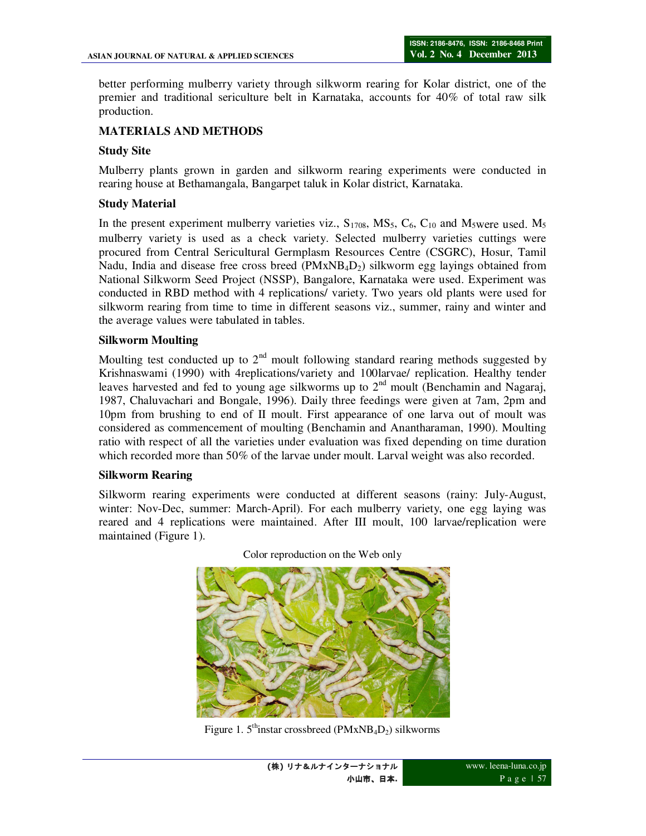better performing mulberry variety through silkworm rearing for Kolar district, one of the premier and traditional sericulture belt in Karnataka, accounts for 40% of total raw silk production.

# **MATERIALS AND METHODS**

### **Study Site**

Mulberry plants grown in garden and silkworm rearing experiments were conducted in rearing house at Bethamangala, Bangarpet taluk in Kolar district, Karnataka.

### **Study Material**

In the present experiment mulberry varieties viz.,  $S_{1708}$ ,  $MS_5$ ,  $C_6$ ,  $C_{10}$  and  $M_5$ were used.  $M_5$ mulberry variety is used as a check variety. Selected mulberry varieties cuttings were procured from Central Sericultural Germplasm Resources Centre (CSGRC), Hosur, Tamil Nadu, India and disease free cross breed  $(PMxNB_4D_2)$  silkworm egg layings obtained from National Silkworm Seed Project (NSSP), Bangalore, Karnataka were used. Experiment was conducted in RBD method with 4 replications/ variety. Two years old plants were used for silkworm rearing from time to time in different seasons viz., summer, rainy and winter and the average values were tabulated in tables.

#### **Silkworm Moulting**

Moulting test conducted up to  $2<sup>nd</sup>$  moult following standard rearing methods suggested by Krishnaswami (1990) with 4replications/variety and 100larvae/ replication. Healthy tender leaves harvested and fed to young age silkworms up to  $2<sup>nd</sup>$  moult (Benchamin and Nagaraj, 1987, Chaluvachari and Bongale, 1996). Daily three feedings were given at 7am, 2pm and 10pm from brushing to end of II moult. First appearance of one larva out of moult was considered as commencement of moulting (Benchamin and Anantharaman, 1990). Moulting ratio with respect of all the varieties under evaluation was fixed depending on time duration which recorded more than 50% of the larvae under moult. Larval weight was also recorded.

#### **Silkworm Rearing**

Silkworm rearing experiments were conducted at different seasons (rainy: July-August, winter: Nov-Dec, summer: March-April). For each mulberry variety, one egg laying was reared and 4 replications were maintained. After III moult, 100 larvae/replication were maintained (Figure 1).



Color reproduction on the Web only

Figure 1.  $5^{\text{th}}$ instar crossbreed (PMxNB<sub>4</sub>D<sub>2</sub>) silkworms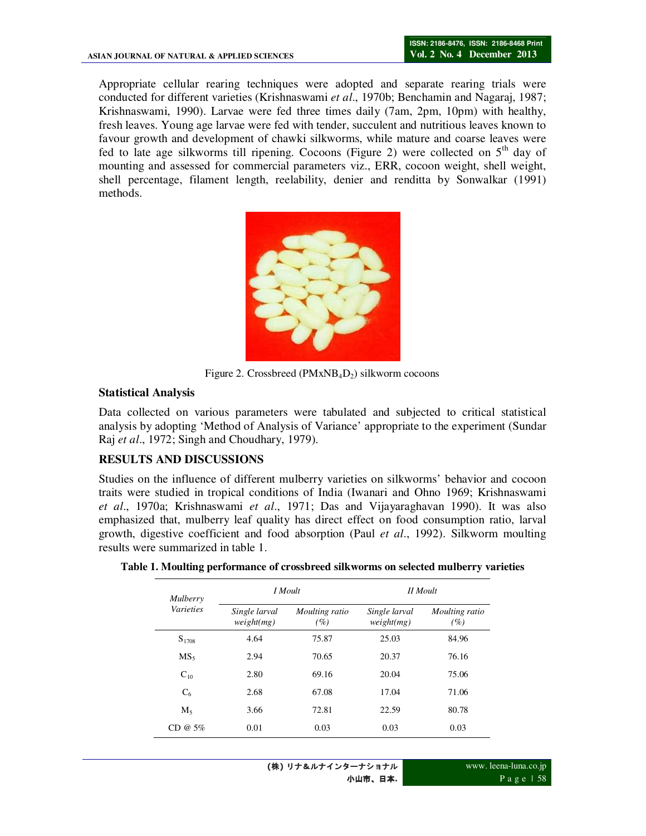Appropriate cellular rearing techniques were adopted and separate rearing trials were conducted for different varieties (Krishnaswami *et al*., 1970b; Benchamin and Nagaraj, 1987; Krishnaswami, 1990). Larvae were fed three times daily (7am, 2pm, 10pm) with healthy, fresh leaves. Young age larvae were fed with tender, succulent and nutritious leaves known to favour growth and development of chawki silkworms, while mature and coarse leaves were fed to late age silkworms till ripening. Cocoons (Figure 2) were collected on  $5<sup>th</sup>$  day of mounting and assessed for commercial parameters viz., ERR, cocoon weight, shell weight, shell percentage, filament length, reelability, denier and renditta by Sonwalkar (1991) methods.



Figure 2. Crossbreed ( $PMXNB<sub>4</sub>D<sub>2</sub>$ ) silkworm cocoons

### **Statistical Analysis**

Data collected on various parameters were tabulated and subjected to critical statistical analysis by adopting 'Method of Analysis of Variance' appropriate to the experiment (Sundar Raj *et al*., 1972; Singh and Choudhary, 1979).

# **RESULTS AND DISCUSSIONS**

Studies on the influence of different mulberry varieties on silkworms' behavior and cocoon traits were studied in tropical conditions of India (Iwanari and Ohno 1969; Krishnaswami *et al*., 1970a; Krishnaswami *et al*., 1971; Das and Vijayaraghavan 1990). It was also emphasized that, mulberry leaf quality has direct effect on food consumption ratio, larval growth, digestive coefficient and food absorption (Paul *et al*., 1992). Silkworm moulting results were summarized in table 1.

| Mulberry<br><i>Varieties</i> |                             | I Moult               | II Moult                    |                       |  |
|------------------------------|-----------------------------|-----------------------|-----------------------------|-----------------------|--|
|                              | Single larval<br>weight(mg) | Moulting ratio<br>(%) | Single larval<br>weight(mg) | Moulting ratio<br>(%) |  |
| $S_{1708}$                   | 4.64                        | 75.87                 | 25.03                       | 84.96                 |  |
| MS <sub>5</sub>              | 2.94                        | 70.65                 | 20.37                       | 76.16                 |  |
| $C_{10}$                     | 2.80                        | 69.16                 | 20.04                       | 75.06                 |  |
| C <sub>6</sub>               | 2.68                        | 67.08                 | 17.04                       | 71.06                 |  |
| $M_5$                        | 3.66                        | 72.81                 | 22.59                       | 80.78                 |  |
| $CD @ 5\%$                   | 0.01                        | 0.03                  | 0.03                        | 0.03                  |  |

**Table 1. Moulting performance of crossbreed silkworms on selected mulberry varieties**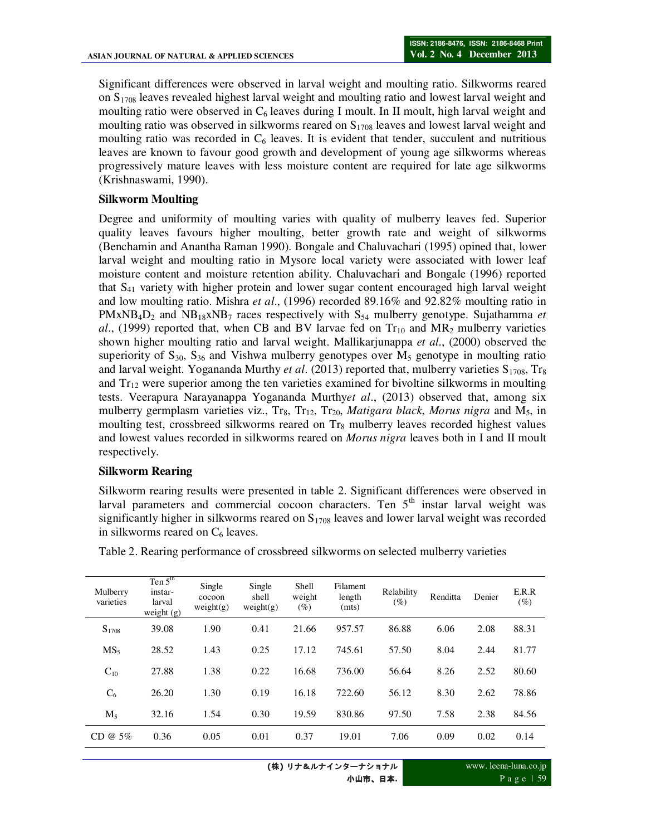Significant differences were observed in larval weight and moulting ratio. Silkworms reared on S1708 leaves revealed highest larval weight and moulting ratio and lowest larval weight and moulting ratio were observed in  $C_6$  leaves during I moult. In II moult, high larval weight and moulting ratio was observed in silkworms reared on  $S_{1708}$  leaves and lowest larval weight and moulting ratio was recorded in  $C_6$  leaves. It is evident that tender, succulent and nutritious leaves are known to favour good growth and development of young age silkworms whereas progressively mature leaves with less moisture content are required for late age silkworms (Krishnaswami, 1990).

#### **Silkworm Moulting**

Degree and uniformity of moulting varies with quality of mulberry leaves fed. Superior quality leaves favours higher moulting, better growth rate and weight of silkworms (Benchamin and Anantha Raman 1990). Bongale and Chaluvachari (1995) opined that, lower larval weight and moulting ratio in Mysore local variety were associated with lower leaf moisture content and moisture retention ability. Chaluvachari and Bongale (1996) reported that S41 variety with higher protein and lower sugar content encouraged high larval weight and low moulting ratio. Mishra *et al*., (1996) recorded 89.16% and 92.82% moulting ratio in  $PMxNB_4D_2$  and  $NB_{18}xNB_7$  races respectively with  $S_{54}$  mulberry genotype. Sujathamma *et al.*, (1999) reported that, when CB and BV larvae fed on  $Tr_{10}$  and  $MR_2$  mulberry varieties shown higher moulting ratio and larval weight. Mallikarjunappa *et al*., (2000) observed the superiority of  $S_{30}$ ,  $S_{36}$  and Vishwa mulberry genotypes over  $M_5$  genotype in moulting ratio and larval weight. Yogananda Murthy *et al.* (2013) reported that, mulberry varieties S<sub>1708</sub>, Tr<sub>8</sub> and  $Tr_{12}$  were superior among the ten varieties examined for bivoltine silkworms in moulting tests. Veerapura Narayanappa Yogananda Murthy*et al*., (2013) observed that, among six mulberry germplasm varieties viz., Tr<sub>8</sub>, Tr<sub>12</sub>, Tr<sub>20</sub>, *Matigara black, Morus nigra* and M<sub>5</sub>, in moulting test, crossbreed silkworms reared on  $Tr_8$  mulberry leaves recorded highest values and lowest values recorded in silkworms reared on *Morus nigra* leaves both in I and II moult respectively.

#### **Silkworm Rearing**

Silkworm rearing results were presented in table 2. Significant differences were observed in larval parameters and commercial cocoon characters. Ten  $5<sup>th</sup>$  instar larval weight was significantly higher in silkworms reared on  $S<sub>1708</sub>$  leaves and lower larval weight was recorded in silkworms reared on  $C_6$  leaves.

| Mulberry<br>varieties | Ten $5th$<br>instar-<br>larval<br>weight (g) | Single<br>cocoon<br>weight(g) | Single<br>shell<br>weight(g) | Shell<br>weight<br>(%) | <b>Filament</b><br>length<br>(mts) | Relability<br>$(\%)$ | Renditta | Denier | E.R.R<br>$(\%)$ |
|-----------------------|----------------------------------------------|-------------------------------|------------------------------|------------------------|------------------------------------|----------------------|----------|--------|-----------------|
| $S_{1708}$            | 39.08                                        | 1.90                          | 0.41                         | 21.66                  | 957.57                             | 86.88                | 6.06     | 2.08   | 88.31           |
| MS <sub>5</sub>       | 28.52                                        | 1.43                          | 0.25                         | 17.12                  | 745.61                             | 57.50                | 8.04     | 2.44   | 81.77           |
| $C_{10}$              | 27.88                                        | 1.38                          | 0.22                         | 16.68                  | 736.00                             | 56.64                | 8.26     | 2.52   | 80.60           |
| $C_6$                 | 26.20                                        | 1.30                          | 0.19                         | 16.18                  | 722.60                             | 56.12                | 8.30     | 2.62   | 78.86           |
| $M_5$                 | 32.16                                        | 1.54                          | 0.30                         | 19.59                  | 830.86                             | 97.50                | 7.58     | 2.38   | 84.56           |
| CD @ $5%$             | 0.36                                         | 0.05                          | 0.01                         | 0.37                   | 19.01                              | 7.06                 | 0.09     | 0.02   | 0.14            |

Table 2. Rearing performance of crossbreed silkworms on selected mulberry varieties

www. leena-luna.co.jp P a g e | 59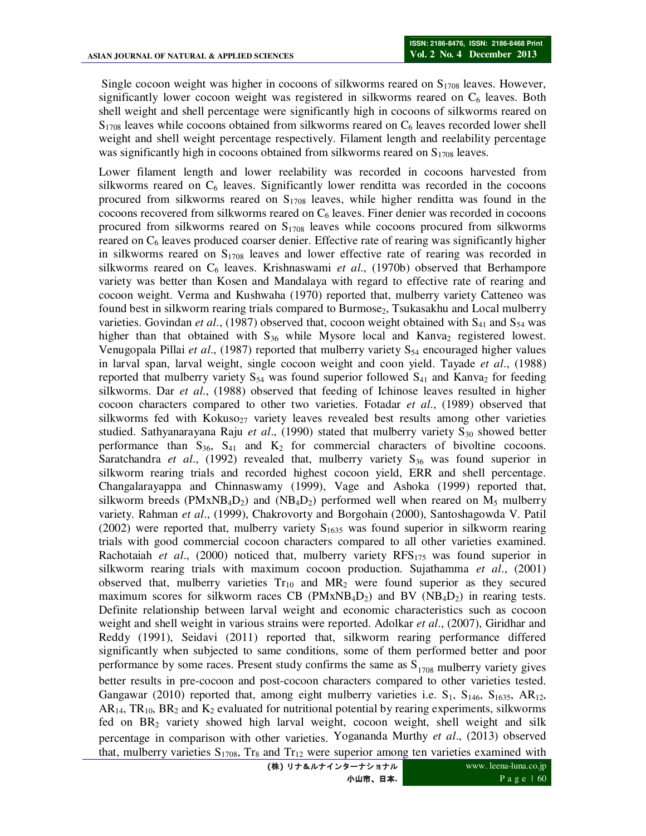Single cocoon weight was higher in cocoons of silkworms reared on  $S_{1708}$  leaves. However, significantly lower cocoon weight was registered in silkworms reared on  $C_6$  leaves. Both shell weight and shell percentage were significantly high in cocoons of silkworms reared on  $S<sub>1708</sub>$  leaves while cocoons obtained from silkworms reared on  $C<sub>6</sub>$  leaves recorded lower shell weight and shell weight percentage respectively. Filament length and reelability percentage was significantly high in cocoons obtained from silkworms reared on  $S_{1708}$  leaves.

Lower filament length and lower reelability was recorded in cocoons harvested from silkworms reared on  $C_6$  leaves. Significantly lower renditta was recorded in the cocoons procured from silkworms reared on  $S_{1708}$  leaves, while higher renditta was found in the cocoons recovered from silkworms reared on  $C_6$  leaves. Finer denier was recorded in cocoons procured from silkworms reared on  $S_{1708}$  leaves while cocoons procured from silkworms reared on  $C_6$  leaves produced coarser denier. Effective rate of rearing was significantly higher in silkworms reared on  $S_{1708}$  leaves and lower effective rate of rearing was recorded in silkworms reared on C6 leaves. Krishnaswami *et al*., (1970b) observed that Berhampore variety was better than Kosen and Mandalaya with regard to effective rate of rearing and cocoon weight. Verma and Kushwaha (1970) reported that, mulberry variety Catteneo was found best in silkworm rearing trials compared to Burmose<sub>2</sub>, Tsukasakhu and Local mulberry varieties. Govindan et al., (1987) observed that, cocoon weight obtained with S<sub>41</sub> and S<sub>54</sub> was higher than that obtained with  $S_{36}$  while Mysore local and Kanva<sub>2</sub> registered lowest. Venugopala Pillai *et al.*, (1987) reported that mulberry variety S<sub>54</sub> encouraged higher values in larval span, larval weight, single cocoon weight and coon yield. Tayade *et al*., (1988) reported that mulberry variety  $S_{54}$  was found superior followed  $S_{41}$  and Kanva<sub>2</sub> for feeding silkworms. Dar *et al*., (1988) observed that feeding of Ichinose leaves resulted in higher cocoon characters compared to other two varieties. Fotadar *et al*., (1989) observed that silkworms fed with Kokuso<sub>27</sub> variety leaves revealed best results among other varieties studied. Sathyanarayana Raju et al., (1990) stated that mulberry variety S<sub>30</sub> showed better performance than  $S_{36}$ ,  $S_{41}$  and  $K_2$  for commercial characters of bivoltine cocoons. Saratchandra *et al.*, (1992) revealed that, mulberry variety  $S_{36}$  was found superior in silkworm rearing trials and recorded highest cocoon yield, ERR and shell percentage. Changalarayappa and Chinnaswamy (1999), Vage and Ashoka (1999) reported that, silkworm breeds (PMxNB<sub>4</sub>D<sub>2</sub>) and (NB<sub>4</sub>D<sub>2</sub>) performed well when reared on M<sub>5</sub> mulberry variety. Rahman *et al*., (1999), Chakrovorty and Borgohain (2000), Santoshagowda V. Patil (2002) were reported that, mulberry variety  $S_{1635}$  was found superior in silkworm rearing trials with good commercial cocoon characters compared to all other varieties examined. Rachotaiah *et al*., (2000) noticed that, mulberry variety RFS175 was found superior in silkworm rearing trials with maximum cocoon production. Sujathamma *et al*., (2001) observed that, mulberry varieties  $Tr_{10}$  and  $MR_2$  were found superior as they secured maximum scores for silkworm races CB ( $PMxNB_4D_2$ ) and BV ( $NB_4D_2$ ) in rearing tests. Definite relationship between larval weight and economic characteristics such as cocoon weight and shell weight in various strains were reported. Adolkar *et al*., (2007), Giridhar and Reddy (1991), Seidavi (2011) reported that, silkworm rearing performance differed significantly when subjected to same conditions, some of them performed better and poor performance by some races. Present study confirms the same as  $S<sub>1708</sub>$  mulberry variety gives better results in pre-cocoon and post-cocoon characters compared to other varieties tested. Gangawar (2010) reported that, among eight mulberry varieties i.e.  $S_1$ ,  $S_{146}$ ,  $S_{1635}$ , AR<sub>12</sub>,  $AR<sub>14</sub>, TR<sub>10</sub>, BR<sub>2</sub>$  and  $K<sub>2</sub>$  evaluated for nutritional potential by rearing experiments, silkworms fed on  $BR<sub>2</sub>$  variety showed high larval weight, cocoon weight, shell weight and silk percentage in comparison with other varieties. Yogananda Murthy *et al*., (2013) observed that, mulberry varieties  $S_{1708}$ , Tr<sub>8</sub> and Tr<sub>12</sub> were superior among ten varieties examined with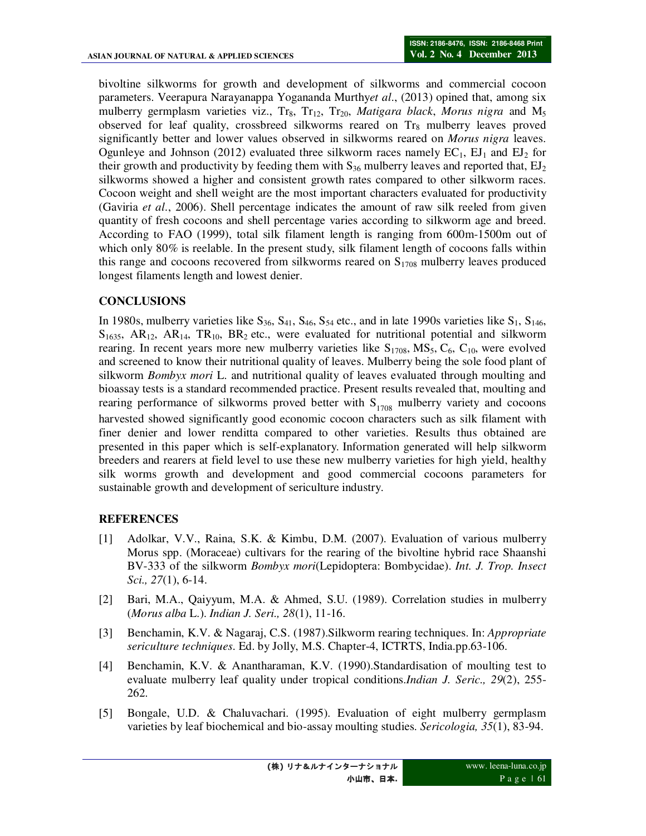bivoltine silkworms for growth and development of silkworms and commercial cocoon parameters. Veerapura Narayanappa Yogananda Murthy*et al*., (2013) opined that, among six mulberry germplasm varieties viz., Tr<sub>8</sub>, Tr<sub>12</sub>, Tr<sub>20</sub>, *Matigara black*, *Morus nigra* and M<sub>5</sub> observed for leaf quality, crossbreed silkworms reared on  $Tr_8$  mulberry leaves proved significantly better and lower values observed in silkworms reared on *Morus nigra* leaves. Ogunleye and Johnson (2012) evaluated three silkworm races namely  $EC_1$ ,  $EI_1$  and  $EI_2$  for their growth and productivity by feeding them with  $S_{36}$  mulberry leaves and reported that,  $EJ_2$ silkworms showed a higher and consistent growth rates compared to other silkworm races. Cocoon weight and shell weight are the most important characters evaluated for productivity (Gaviria *et al*., 2006). Shell percentage indicates the amount of raw silk reeled from given quantity of fresh cocoons and shell percentage varies according to silkworm age and breed. According to FAO (1999), total silk filament length is ranging from 600m-1500m out of which only 80% is reelable. In the present study, silk filament length of cocoons falls within this range and cocoons recovered from silkworms reared on  $S<sub>1708</sub>$  mulberry leaves produced longest filaments length and lowest denier.

# **CONCLUSIONS**

In 1980s, mulberry varieties like  $S_{36}$ ,  $S_{41}$ ,  $S_{46}$ ,  $S_{54}$  etc., and in late 1990s varieties like  $S_1$ ,  $S_{146}$ ,  $S<sub>1635</sub>$ , AR<sub>12</sub>, AR<sub>14</sub>, TR<sub>10</sub>, BR<sub>2</sub> etc., were evaluated for nutritional potential and silkworm rearing. In recent years more new mulberry varieties like  $S<sub>1708</sub>$ , MS<sub>5</sub>, C<sub>6</sub>, C<sub>10</sub>, were evolved and screened to know their nutritional quality of leaves. Mulberry being the sole food plant of silkworm *Bombyx mori* L. and nutritional quality of leaves evaluated through moulting and bioassay tests is a standard recommended practice. Present results revealed that, moulting and rearing performance of silkworms proved better with  $S<sub>1708</sub>$  mulberry variety and cocoons harvested showed significantly good economic cocoon characters such as silk filament with finer denier and lower renditta compared to other varieties. Results thus obtained are presented in this paper which is self-explanatory. Information generated will help silkworm breeders and rearers at field level to use these new mulberry varieties for high yield, healthy silk worms growth and development and good commercial cocoons parameters for sustainable growth and development of sericulture industry.

# **REFERENCES**

- [1] Adolkar, V.V., Raina, S.K. & Kimbu, D.M. (2007). Evaluation of various mulberry Morus spp. (Moraceae) cultivars for the rearing of the bivoltine hybrid race Shaanshi BV-333 of the silkworm *Bombyx mori*(Lepidoptera: Bombycidae). *Int. J. Trop. Insect Sci., 27*(1), 6-14.
- [2] Bari, M.A., Qaiyyum, M.A. & Ahmed, S.U. (1989). Correlation studies in mulberry (*Morus alba* L.). *Indian J. Seri., 28*(1), 11-16.
- [3] Benchamin, K.V. & Nagaraj, C.S. (1987).Silkworm rearing techniques. In: *Appropriate sericulture techniques*. Ed. by Jolly, M.S. Chapter-4, ICTRTS, India.pp.63-106.
- [4] Benchamin, K.V. & Anantharaman, K.V. (1990).Standardisation of moulting test to evaluate mulberry leaf quality under tropical conditions.*Indian J. Seric., 29*(2), 255- 262.
- [5] Bongale, U.D. & Chaluvachari. (1995). Evaluation of eight mulberry germplasm varieties by leaf biochemical and bio-assay moulting studies. *Sericologia, 35*(1), 83-94.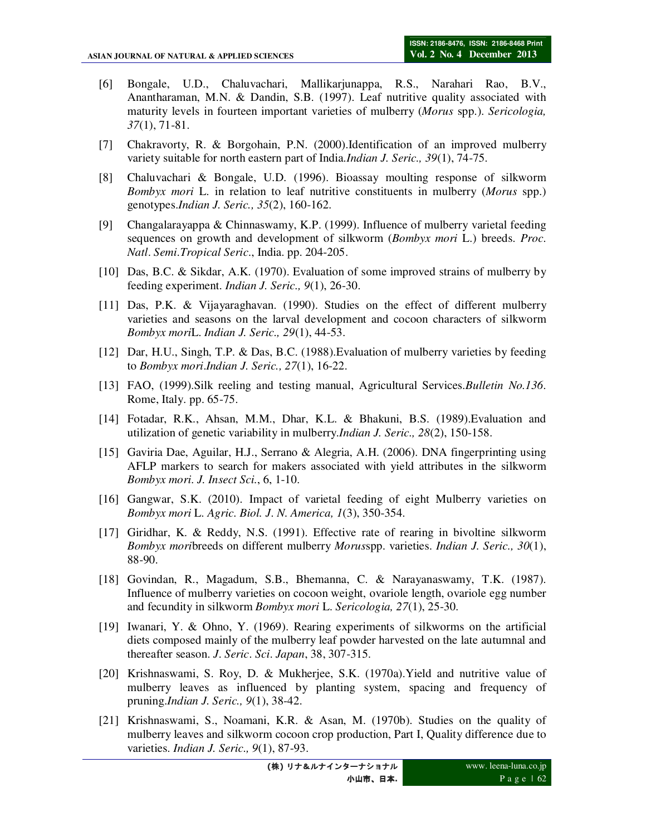- [6] Bongale, U.D., Chaluvachari, Mallikarjunappa, R.S., Narahari Rao, B.V., Anantharaman, M.N. & Dandin, S.B. (1997). Leaf nutritive quality associated with maturity levels in fourteen important varieties of mulberry (*Morus* spp.). *Sericologia, 37*(1), 71-81.
- [7] Chakravorty, R. & Borgohain, P.N. (2000).Identification of an improved mulberry variety suitable for north eastern part of India.*Indian J. Seric., 39*(1), 74-75.
- [8] Chaluvachari & Bongale, U.D. (1996). Bioassay moulting response of silkworm *Bombyx mori* L. in relation to leaf nutritive constituents in mulberry (*Morus* spp.) genotypes.*Indian J. Seric., 35*(2), 160-162.
- [9] Changalarayappa & Chinnaswamy, K.P. (1999). Influence of mulberry varietal feeding sequences on growth and development of silkworm (*Bombyx mori* L.) breeds. *Proc*. *Natl*. *Semi*.*Tropical Seric*., India. pp. 204-205.
- [10] Das, B.C. & Sikdar, A.K. (1970). Evaluation of some improved strains of mulberry by feeding experiment. *Indian J. Seric., 9*(1), 26-30.
- [11] Das, P.K. & Vijayaraghavan. (1990). Studies on the effect of different mulberry varieties and seasons on the larval development and cocoon characters of silkworm *Bombyx mori*L. *Indian J. Seric., 29*(1), 44-53.
- [12] Dar, H.U., Singh, T.P. & Das, B.C. (1988).Evaluation of mulberry varieties by feeding to *Bombyx mori*.*Indian J. Seric., 27*(1), 16-22.
- [13] FAO, (1999).Silk reeling and testing manual, Agricultural Services.*Bulletin No.136*. Rome, Italy. pp. 65-75.
- [14] Fotadar, R.K., Ahsan, M.M., Dhar, K.L. & Bhakuni, B.S. (1989).Evaluation and utilization of genetic variability in mulberry.*Indian J. Seric., 28*(2), 150-158.
- [15] Gaviria Dae, Aguilar, H.J., Serrano & Alegria, A.H. (2006). DNA fingerprinting using AFLP markers to search for makers associated with yield attributes in the silkworm *Bombyx mori*. *J. Insect Sci.*, 6, 1-10.
- [16] Gangwar, S.K. (2010). Impact of varietal feeding of eight Mulberry varieties on *Bombyx mori* L. *Agric. Biol. J*. *N*. *America, 1*(3), 350-354.
- [17] Giridhar, K. & Reddy, N.S. (1991). Effective rate of rearing in bivoltine silkworm *Bombyx mori*breeds on different mulberry *Morus*spp. varieties. *Indian J. Seric., 30*(1), 88-90.
- [18] Govindan, R., Magadum, S.B., Bhemanna, C. & Narayanaswamy, T.K. (1987). Influence of mulberry varieties on cocoon weight, ovariole length, ovariole egg number and fecundity in silkworm *Bombyx mori* L. *Sericologia, 27*(1), 25-30.
- [19] Iwanari, Y. & Ohno, Y. (1969). Rearing experiments of silkworms on the artificial diets composed mainly of the mulberry leaf powder harvested on the late autumnal and thereafter season. *J*. *Seric*. *Sci*. *Japan*, 38, 307-315.
- [20] Krishnaswami, S. Roy, D. & Mukherjee, S.K. (1970a).Yield and nutritive value of mulberry leaves as influenced by planting system, spacing and frequency of pruning.*Indian J. Seric., 9*(1), 38-42.
- [21] Krishnaswami, S., Noamani, K.R. & Asan, M. (1970b). Studies on the quality of mulberry leaves and silkworm cocoon crop production, Part I, Quality difference due to varieties. *Indian J. Seric., 9*(1), 87-93.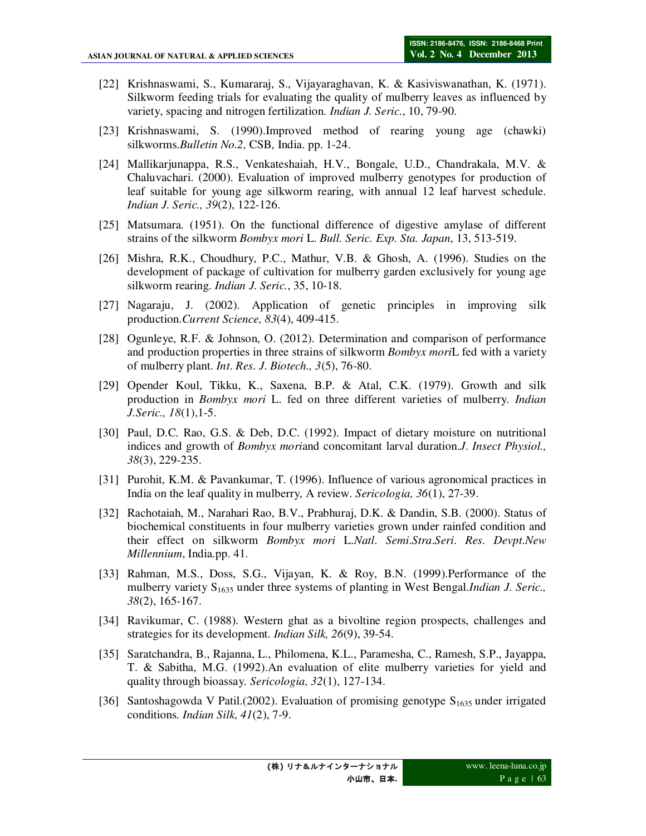- [22] Krishnaswami, S., Kumararaj, S., Vijayaraghavan, K. & Kasiviswanathan, K. (1971). Silkworm feeding trials for evaluating the quality of mulberry leaves as influenced by variety, spacing and nitrogen fertilization. *Indian J. Seric.*, 10, 79-90.
- [23] Krishnaswami, S. (1990).Improved method of rearing young age (chawki) silkworms.*Bulletin No.2,* CSB, India. pp. 1-24.
- [24] Mallikarjunappa, R.S., Venkateshaiah, H.V., Bongale, U.D., Chandrakala, M.V. & Chaluvachari. (2000). Evaluation of improved mulberry genotypes for production of leaf suitable for young age silkworm rearing, with annual 12 leaf harvest schedule. *Indian J. Seric., 39*(2), 122-126.
- [25] Matsumara. (1951). On the functional difference of digestive amylase of different strains of the silkworm *Bombyx mori* L. *Bull. Seric. Exp. Sta. Japan*, 13, 513-519.
- [26] Mishra, R.K., Choudhury, P.C., Mathur, V.B. & Ghosh, A. (1996). Studies on the development of package of cultivation for mulberry garden exclusively for young age silkworm rearing. *Indian J. Seric.*, 35, 10-18.
- [27] Nagaraju, J. (2002). Application of genetic principles in improving silk production.*Current Science, 83*(4), 409-415.
- [28] Ogunleye, R.F. & Johnson, O. (2012). Determination and comparison of performance and production properties in three strains of silkworm *Bombyx mori*L fed with a variety of mulberry plant. *Int*. *Res*. *J*. *Biotech., 3*(5), 76-80.
- [29] Opender Koul, Tikku, K., Saxena, B.P. & Atal, C.K. (1979). Growth and silk production in *Bombyx mori* L. fed on three different varieties of mulberry. *Indian J.Seric., 18*(1),1-5.
- [30] Paul, D.C. Rao, G.S. & Deb, D.C. (1992). Impact of dietary moisture on nutritional indices and growth of *Bombyx mori*and concomitant larval duration.*J*. *Insect Physiol., 38*(3), 229-235.
- [31] Purohit, K.M. & Pavankumar, T. (1996). Influence of various agronomical practices in India on the leaf quality in mulberry, A review. *Sericologia, 36*(1), 27-39.
- [32] Rachotaiah, M., Narahari Rao, B.V., Prabhuraj, D.K. & Dandin, S.B. (2000). Status of biochemical constituents in four mulberry varieties grown under rainfed condition and their effect on silkworm *Bombyx mori* L.*Natl*. *Semi*.*Stra*.*Seri*. *Res*. *Devpt*.*New Millennium*, India.pp. 41.
- [33] Rahman, M.S., Doss, S.G., Vijayan, K. & Roy, B.N. (1999).Performance of the mulberry variety S1635 under three systems of planting in West Bengal.*Indian J. Seric., 38*(2), 165-167.
- [34] Ravikumar, C. (1988). Western ghat as a bivoltine region prospects, challenges and strategies for its development. *Indian Silk, 26*(9), 39-54.
- [35] Saratchandra, B., Rajanna, L., Philomena, K.L., Paramesha, C., Ramesh, S.P., Jayappa, T. & Sabitha, M.G. (1992).An evaluation of elite mulberry varieties for yield and quality through bioassay. *Sericologia, 32*(1), 127-134.
- [36] Santoshagowda V Patil.(2002). Evaluation of promising genotype  $S_{1635}$  under irrigated conditions. *Indian Silk, 41*(2), 7-9.